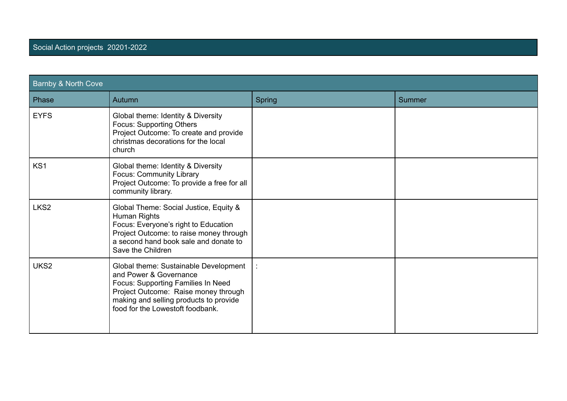| <b>Barnby &amp; North Cove</b> |                                                                                                                                                                                                                             |               |               |  |
|--------------------------------|-----------------------------------------------------------------------------------------------------------------------------------------------------------------------------------------------------------------------------|---------------|---------------|--|
| Phase                          | Autumn                                                                                                                                                                                                                      | <b>Spring</b> | <b>Summer</b> |  |
| <b>EYFS</b>                    | Global theme: Identity & Diversity<br><b>Focus: Supporting Others</b><br>Project Outcome: To create and provide<br>christmas decorations for the local<br>church                                                            |               |               |  |
| KS1                            | Global theme: Identity & Diversity<br><b>Focus: Community Library</b><br>Project Outcome: To provide a free for all<br>community library.                                                                                   |               |               |  |
| LKS <sub>2</sub>               | Global Theme: Social Justice, Equity &<br>Human Rights<br>Focus: Everyone's right to Education<br>Project Outcome: to raise money through<br>a second hand book sale and donate to<br>Save the Children                     |               |               |  |
| UKS2                           | Global theme: Sustainable Development<br>and Power & Governance<br>Focus: Supporting Families In Need<br>Project Outcome: Raise money through<br>making and selling products to provide<br>food for the Lowestoft foodbank. |               |               |  |